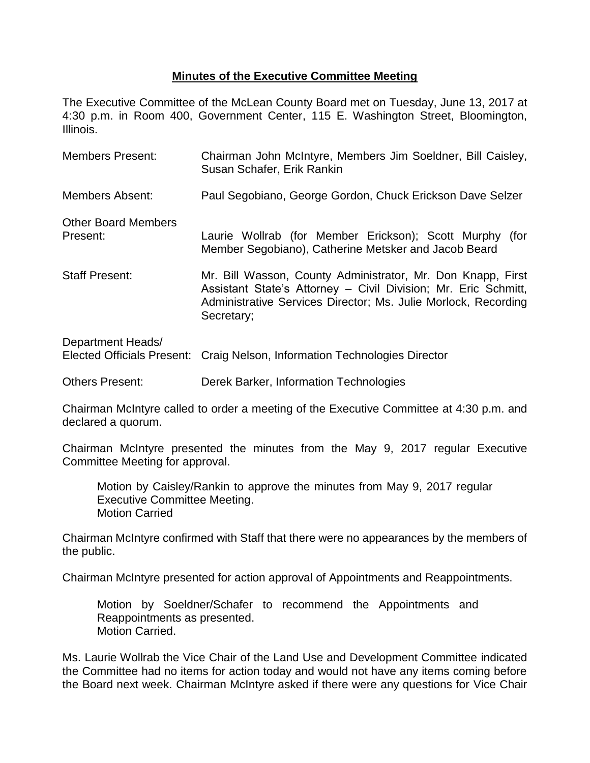## **Minutes of the Executive Committee Meeting**

The Executive Committee of the McLean County Board met on Tuesday, June 13, 2017 at 4:30 p.m. in Room 400, Government Center, 115 E. Washington Street, Bloomington, Illinois.

| <b>Members Present:</b>                | Chairman John McIntyre, Members Jim Soeldner, Bill Caisley,<br>Susan Schafer, Erik Rankin                                                                                                                     |  |  |
|----------------------------------------|---------------------------------------------------------------------------------------------------------------------------------------------------------------------------------------------------------------|--|--|
| <b>Members Absent:</b>                 | Paul Segobiano, George Gordon, Chuck Erickson Dave Selzer                                                                                                                                                     |  |  |
| <b>Other Board Members</b><br>Present: | Laurie Wollrab (for Member Erickson); Scott Murphy (for<br>Member Segobiano), Catherine Metsker and Jacob Beard                                                                                               |  |  |
| <b>Staff Present:</b>                  | Mr. Bill Wasson, County Administrator, Mr. Don Knapp, First<br>Assistant State's Attorney - Civil Division; Mr. Eric Schmitt,<br>Administrative Services Director; Ms. Julie Morlock, Recording<br>Secretary; |  |  |
| Department Heads/                      | Elected Officials Present: Craig Nelson, Information Technologies Director                                                                                                                                    |  |  |

Others Present: Derek Barker, Information Technologies

Chairman McIntyre called to order a meeting of the Executive Committee at 4:30 p.m. and declared a quorum.

Chairman McIntyre presented the minutes from the May 9, 2017 regular Executive Committee Meeting for approval.

Motion by Caisley/Rankin to approve the minutes from May 9, 2017 regular Executive Committee Meeting. Motion Carried

Chairman McIntyre confirmed with Staff that there were no appearances by the members of the public.

Chairman McIntyre presented for action approval of Appointments and Reappointments.

Motion by Soeldner/Schafer to recommend the Appointments and Reappointments as presented. Motion Carried.

Ms. Laurie Wollrab the Vice Chair of the Land Use and Development Committee indicated the Committee had no items for action today and would not have any items coming before the Board next week. Chairman McIntyre asked if there were any questions for Vice Chair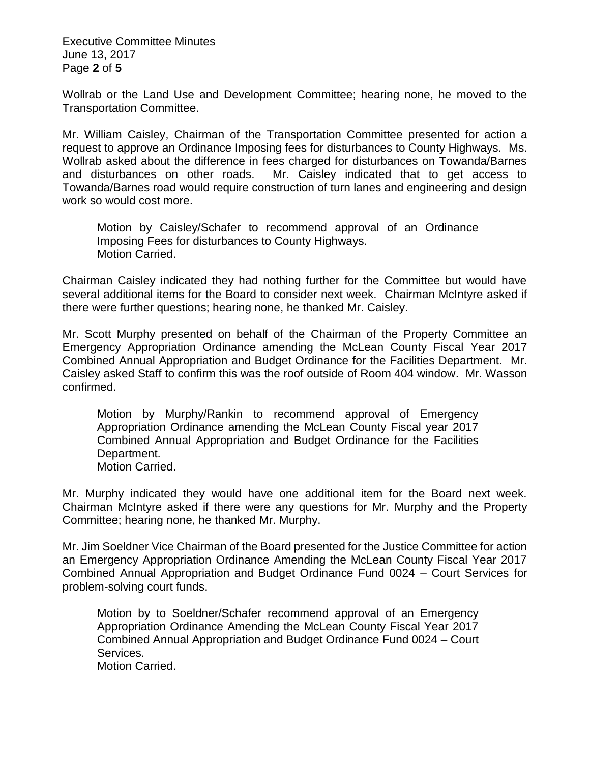Executive Committee Minutes June 13, 2017 Page **2** of **5**

Wollrab or the Land Use and Development Committee; hearing none, he moved to the Transportation Committee.

Mr. William Caisley, Chairman of the Transportation Committee presented for action a request to approve an Ordinance Imposing fees for disturbances to County Highways. Ms. Wollrab asked about the difference in fees charged for disturbances on Towanda/Barnes and disturbances on other roads. Mr. Caisley indicated that to get access to Towanda/Barnes road would require construction of turn lanes and engineering and design work so would cost more.

Motion by Caisley/Schafer to recommend approval of an Ordinance Imposing Fees for disturbances to County Highways. Motion Carried.

Chairman Caisley indicated they had nothing further for the Committee but would have several additional items for the Board to consider next week. Chairman McIntyre asked if there were further questions; hearing none, he thanked Mr. Caisley.

Mr. Scott Murphy presented on behalf of the Chairman of the Property Committee an Emergency Appropriation Ordinance amending the McLean County Fiscal Year 2017 Combined Annual Appropriation and Budget Ordinance for the Facilities Department. Mr. Caisley asked Staff to confirm this was the roof outside of Room 404 window. Mr. Wasson confirmed.

Motion by Murphy/Rankin to recommend approval of Emergency Appropriation Ordinance amending the McLean County Fiscal year 2017 Combined Annual Appropriation and Budget Ordinance for the Facilities Department. Motion Carried.

Mr. Murphy indicated they would have one additional item for the Board next week. Chairman McIntyre asked if there were any questions for Mr. Murphy and the Property Committee; hearing none, he thanked Mr. Murphy.

Mr. Jim Soeldner Vice Chairman of the Board presented for the Justice Committee for action an Emergency Appropriation Ordinance Amending the McLean County Fiscal Year 2017 Combined Annual Appropriation and Budget Ordinance Fund 0024 – Court Services for problem-solving court funds.

Motion by to Soeldner/Schafer recommend approval of an Emergency Appropriation Ordinance Amending the McLean County Fiscal Year 2017 Combined Annual Appropriation and Budget Ordinance Fund 0024 – Court Services.

Motion Carried.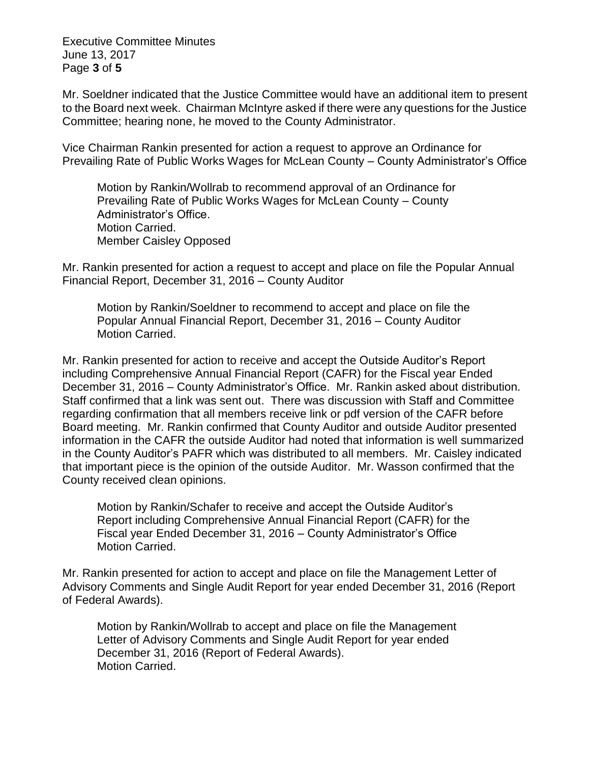Executive Committee Minutes June 13, 2017 Page **3** of **5**

Mr. Soeldner indicated that the Justice Committee would have an additional item to present to the Board next week. Chairman McIntyre asked if there were any questions for the Justice Committee; hearing none, he moved to the County Administrator.

Vice Chairman Rankin presented for action a request to approve an Ordinance for Prevailing Rate of Public Works Wages for McLean County – County Administrator's Office

Motion by Rankin/Wollrab to recommend approval of an Ordinance for Prevailing Rate of Public Works Wages for McLean County – County Administrator's Office. Motion Carried. Member Caisley Opposed

Mr. Rankin presented for action a request to accept and place on file the Popular Annual Financial Report, December 31, 2016 – County Auditor

Motion by Rankin/Soeldner to recommend to accept and place on file the Popular Annual Financial Report, December 31, 2016 – County Auditor Motion Carried.

Mr. Rankin presented for action to receive and accept the Outside Auditor's Report including Comprehensive Annual Financial Report (CAFR) for the Fiscal year Ended December 31, 2016 – County Administrator's Office. Mr. Rankin asked about distribution. Staff confirmed that a link was sent out. There was discussion with Staff and Committee regarding confirmation that all members receive link or pdf version of the CAFR before Board meeting. Mr. Rankin confirmed that County Auditor and outside Auditor presented information in the CAFR the outside Auditor had noted that information is well summarized in the County Auditor's PAFR which was distributed to all members. Mr. Caisley indicated that important piece is the opinion of the outside Auditor. Mr. Wasson confirmed that the County received clean opinions.

Motion by Rankin/Schafer to receive and accept the Outside Auditor's Report including Comprehensive Annual Financial Report (CAFR) for the Fiscal year Ended December 31, 2016 – County Administrator's Office Motion Carried.

Mr. Rankin presented for action to accept and place on file the Management Letter of Advisory Comments and Single Audit Report for year ended December 31, 2016 (Report of Federal Awards).

Motion by Rankin/Wollrab to accept and place on file the Management Letter of Advisory Comments and Single Audit Report for year ended December 31, 2016 (Report of Federal Awards). Motion Carried.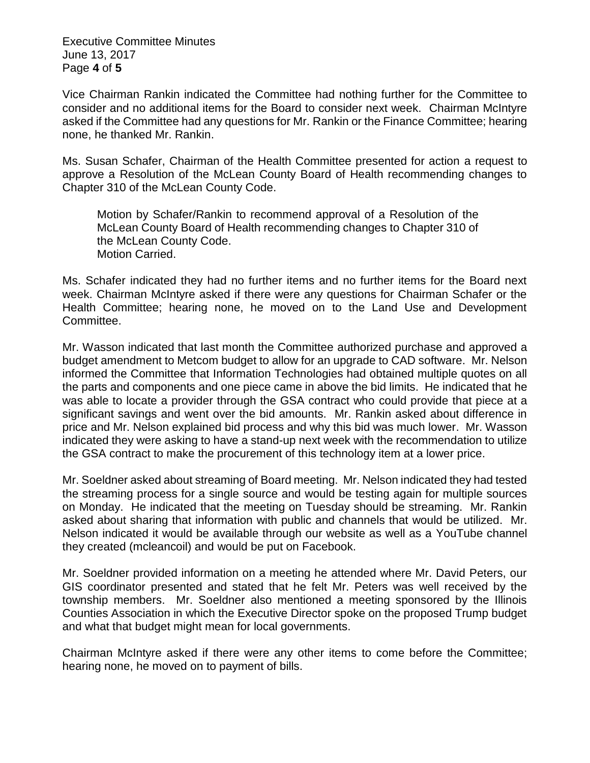Executive Committee Minutes June 13, 2017 Page **4** of **5**

Vice Chairman Rankin indicated the Committee had nothing further for the Committee to consider and no additional items for the Board to consider next week. Chairman McIntyre asked if the Committee had any questions for Mr. Rankin or the Finance Committee; hearing none, he thanked Mr. Rankin.

Ms. Susan Schafer, Chairman of the Health Committee presented for action a request to approve a Resolution of the McLean County Board of Health recommending changes to Chapter 310 of the McLean County Code.

Motion by Schafer/Rankin to recommend approval of a Resolution of the McLean County Board of Health recommending changes to Chapter 310 of the McLean County Code. Motion Carried.

Ms. Schafer indicated they had no further items and no further items for the Board next week. Chairman McIntyre asked if there were any questions for Chairman Schafer or the Health Committee; hearing none, he moved on to the Land Use and Development Committee.

Mr. Wasson indicated that last month the Committee authorized purchase and approved a budget amendment to Metcom budget to allow for an upgrade to CAD software. Mr. Nelson informed the Committee that Information Technologies had obtained multiple quotes on all the parts and components and one piece came in above the bid limits. He indicated that he was able to locate a provider through the GSA contract who could provide that piece at a significant savings and went over the bid amounts. Mr. Rankin asked about difference in price and Mr. Nelson explained bid process and why this bid was much lower. Mr. Wasson indicated they were asking to have a stand-up next week with the recommendation to utilize the GSA contract to make the procurement of this technology item at a lower price.

Mr. Soeldner asked about streaming of Board meeting. Mr. Nelson indicated they had tested the streaming process for a single source and would be testing again for multiple sources on Monday. He indicated that the meeting on Tuesday should be streaming. Mr. Rankin asked about sharing that information with public and channels that would be utilized. Mr. Nelson indicated it would be available through our website as well as a YouTube channel they created (mcleancoil) and would be put on Facebook.

Mr. Soeldner provided information on a meeting he attended where Mr. David Peters, our GIS coordinator presented and stated that he felt Mr. Peters was well received by the township members. Mr. Soeldner also mentioned a meeting sponsored by the Illinois Counties Association in which the Executive Director spoke on the proposed Trump budget and what that budget might mean for local governments.

Chairman McIntyre asked if there were any other items to come before the Committee; hearing none, he moved on to payment of bills.